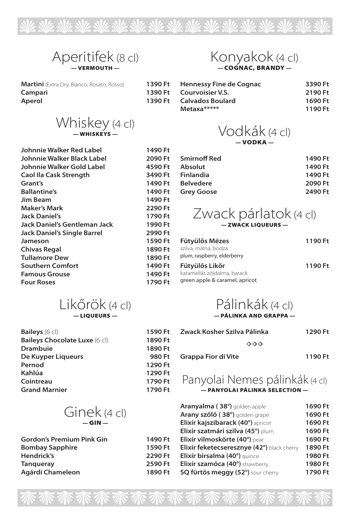





| <b>Martini</b> (Extra Dry, Bianco, Rosato, Rosso) | 1390 Ft Hennessy Fine de Cognac | 3390 Ft |
|---------------------------------------------------|---------------------------------|---------|
| Campari                                           | 1390 Ft Courvoisier V.S.        | 2190 Ft |
| Aperol                                            | 1390 Ft Calvados Boulard        | 1690 Ft |
|                                                   | Metaxa <sup>*****</sup>         | 1190 Ft |



**Johnnie Walker Red Label Johnnie Walker Black Label 2090 Ft Johnnie Walker Gold Label 4590 Ft Caol Ila Cask Strength 3490 Ft**

 $G$ **rant's Ballantine's Jim** Beam

| $\sim$ $\sim$ $\prime$ |         | odk                 |
|------------------------|---------|---------------------|
|                        |         | $\mathbf v$         |
|                        | 1490 Ft |                     |
|                        | 2090 Ft | <b>Smirnoff Red</b> |
|                        | 4590 Ft | <b>Absolut</b>      |
|                        | 3490 Ft | <b>Finlandia</b>    |
|                        | 1490 Ft | <b>Belvedere</b>    |
|                        | 1490 Ft | <b>Grey Goose</b>   |
|                        | 1490 Ft |                     |
|                        | בח ההרר |                     |

karar

dkák (4 cl) — VODKA —

| <b>Smirnoff Red</b> | 1490 Ft |
|---------------------|---------|
| <b>Absolut</b>      | 1490 Ft |
| <b>Finlandia</b>    | 1490 Ft |
| <b>Belvedere</b>    | 2090 Ft |
| <b>Grey Goose</b>   | 2490 Ft |

**Maker's Mark 2290 Ft Jack Daniel's 1790 Ft Jack Daniel's Gentleman Jack 1990 Ft Jack Daniel's Single Barrel 2990 Ft Jameson 1590 Ft Chivas Regal 1890 Ft Tullamore Dew 1890 Ft Southern Comfort 1490 Ft** Zwack párlatok (4 cl) — ZWACK LIQUEURS — **Fütyülős Mézes 1190 Ft** szilva, málna, bodza plum

| SZIIVA, ITIAII IA, DUUZA<br>plum, raspberry, elderberry |         |
|---------------------------------------------------------|---------|
| Fütyülős Likőr                                          | 1190 Ft |
| karamellás zöldalma, barack                             |         |
|                                                         |         |

green apple & caramel, apricot

Likőrök (4 cl) — LIQUEURS —

**Famous Grouse 1490 Ft Four Roses 1790 Ft**

| <b>Baileys</b> $(6 \text{ cl})$      | 1590 Ft |
|--------------------------------------|---------|
| <b>Baileys Chocolate Luxe (6 cl)</b> | 1890 Ft |
| <b>Drambuie</b>                      | 1890 Ft |
| De Kuyper Liqueurs                   | 980 Ft  |
| Pernod                               | 1290 Ft |
| Kahlúa                               | 1290 Ft |
| Cointreau                            | 1790 Ft |
| <b>Grand Marnier</b>                 | 1790 Ft |
|                                      |         |

Pálinkák (4 cl) — PÁLINKA AND GRAPPA —

| Zwack Kosher Szilva Pálinka | 1290 Ft |
|-----------------------------|---------|
| ◈◈◈                         |         |
| <b>Grappa Fior di Vite</b>  | 1190 Ft |

### Panyolai Nemes pálinkák (4 cl) ,<br>— PANYOLAI PÁLINKA SELECTION —

| Aranyalma (38°) golden apple               | 1690 Ft |
|--------------------------------------------|---------|
| Arany szőlő (38°) golden grape             | 1690 Ft |
| Elixír kajszibarack (40°) apricot          | 1690 Ft |
| Elixír szatmári szilva (45°) plum          | 1690 Ft |
| Elixír vilmoskörte (40°) pear              | 1690 Ft |
| Elixír feketecseresznye (42°) black cherry | 1890 Ft |
| Elixír birsalma (40°) quince               | 1980 Ft |
| Elixír szamóca (40°) strawberry            | 1980 Ft |
| SQ fürtös meggy (52°) sour cherry          | 1790 Ft |

Ginek (4 cl)  $-$  GIN  $-$ 

| <b>Gordon's Premium Pink Gin</b> | 1490 Ft |
|----------------------------------|---------|
| <b>Bombay Sapphire</b>           | 1590 Ft |
| Hendrick's                       | 2290 Ft |
| <b>Tanqueray</b>                 | 2590 Ft |
| Agárdi Chameleon                 | 1890 Ft |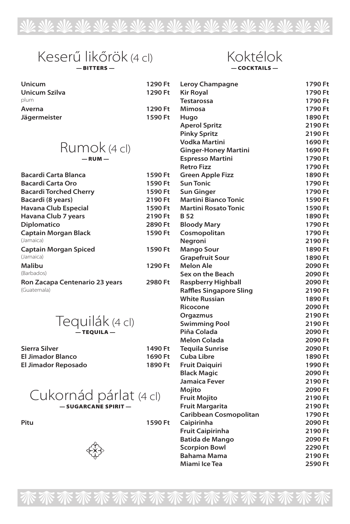# Keserű likőrök (4 cl) — BITTERS —



| <b>Unicum</b>                  | 1290 Ft | <b>Leroy Champagne</b>         | 1790 Ft |
|--------------------------------|---------|--------------------------------|---------|
| Unicum Szilva                  | 1290 Ft | <b>Kir Royal</b>               | 1790 Ft |
| plum                           |         | <b>Testarossa</b>              | 1790 Ft |
| Averna                         | 1290 Ft | <b>Mimosa</b>                  | 1790 Ft |
| <b>Jägermeister</b>            | 1590 Ft | Hugo                           | 1890 Ft |
|                                |         | <b>Aperol Spritz</b>           | 2190 Ft |
|                                |         | <b>Pinky Spritz</b>            | 2190 Ft |
|                                |         | <b>Vodka Martini</b>           | 1690 Ft |
| Rumok (4 cl)                   |         | <b>Ginger-Honey Martini</b>    | 1690 Ft |
| $-$ RUM $-$                    |         | <b>Espresso Martini</b>        | 1790 Ft |
|                                |         | <b>Retro Fizz</b>              | 1790 Ft |
| <b>Bacardi Carta Blanca</b>    | 1590 Ft | <b>Green Apple Fizz</b>        | 1890 Ft |
| <b>Bacardi Carta Oro</b>       | 1590 Ft | <b>Sun Tonic</b>               | 1790 Ft |
| <b>Bacardi Torched Cherry</b>  | 1590 Ft | <b>Sun Ginger</b>              | 1790 Ft |
| Bacardi (8 years)              | 2190 Ft | <b>Martini Bianco Tonic</b>    | 1590 Ft |
| <b>Havana Club Especial</b>    | 1590 Ft | <b>Martini Rosato Tonic</b>    | 1590 Ft |
| Havana Club 7 years            | 2190 Ft | <b>B52</b>                     | 1890 Ft |
| <b>Diplomatico</b>             | 2890 Ft | <b>Bloody Mary</b>             | 1790 Ft |
| <b>Captain Morgan Black</b>    | 1590 Ft | Cosmopolitan                   | 1790 Ft |
| (Jamaica)                      |         | Negroni                        | 2190 Ft |
| <b>Captain Morgan Spiced</b>   | 1590 Ft | <b>Mango Sour</b>              | 1890 Ft |
| (Jamaica)                      |         | <b>Grapefruit Sour</b>         | 1890 Ft |
| Malibu                         | 1290 Ft | <b>Melon Ale</b>               | 2090 Ft |
| (Barbados)                     |         | Sex on the Beach               | 2090 Ft |
| Ron Zacapa Centenario 23 years | 2980 Ft | <b>Raspberry Highball</b>      | 2090 Ft |
| (Guatemala)                    |         | <b>Raffles Singapore Sling</b> | 2190 Ft |
|                                |         | <b>White Russian</b>           | 1890 Ft |
|                                |         | Ricocone                       | 2090 Ft |
|                                |         | Orgazmus                       | 2190 Ft |
| Tequilák (4 cl)                |         | <b>Swimming Pool</b>           | 2190 Ft |
| $-$ TEQUILA $-$                |         | Piña Colada                    | 2090 Ft |
|                                |         | <b>Melon Colada</b>            | 2090 Ft |
| Sierra Silver                  | 1490 Ft | <b>Tequila Sunrise</b>         | 2090 Ft |
| <b>El Jimador Blanco</b>       | 1690 Ft | <b>Cuba Libre</b>              | 1890 Ft |
| El Jimador Reposado            | 1890 Ft | <b>Fruit Daiquiri</b>          | 1990 Ft |
|                                |         | <b>Black Magic</b>             | 2090 Ft |
|                                |         | <b>Jamaica Fever</b>           | 2190 Ft |
|                                |         | Mojito                         | 2090 Ft |
| Cukornád párlat (4 cl)         |         | <b>Fruit Mojito</b>            | 2190 Ft |
| - SUGARCANE SPIRIT-            |         | <b>Fruit Margarita</b>         | 2190 Ft |
|                                |         | <b>Caribbean Cosmopolitan</b>  | 1790 Ft |
| Pitu                           | 1590 Ft | Caipirinha                     | 2090 Ft |
|                                |         | <b>Fruit Caipirinha</b>        | 2190 Ft |
|                                |         | <b>Batida de Mango</b>         | 2090 Ft |
|                                |         | <b>Scorpion Bowl</b>           | 2290 Ft |
|                                |         | <b>Bahama Mama</b>             | 2190 Ft |
|                                |         | Miami Ice Tea                  | 2590 Ft |

# **Unicum Unicum Szilva 1290 Ft**

| IZ フU FU |
|----------|
|          |
| 1290 Ft  |
| 1590 Ft  |
|          |

# Rumok (4 cl)

| Bacardi Carta Blanca                          | 1590 Ft |
|-----------------------------------------------|---------|
| <b>Bacardi Carta Oro</b>                      | 1590 Ft |
| <b>Bacardi Torched Cherry</b>                 | 1590 Ft |
| Bacardi (8 years)                             | 2190 Ft |
| <b>Havana Club Especial</b>                   | 1590 Ft |
| Havana Club 7 years                           | 2190 Ft |
| <b>Diplomatico</b>                            | 2890 Ft |
| <b>Captain Morgan Black</b><br>(Jamaica)      | 1590 Ft |
| <b>Captain Morgan Spiced</b><br>(Jamaica)     | 1590 Ft |
| Malibu<br>(Barbados)                          | 1290 Ft |
| Ron Zacapa Centenario 23 years<br>(Guatemala) | 2980 Ft |

# Te

| Sierra Silver       | 1490 Ft |
|---------------------|---------|
| El Jimador Blanco   | 1690 Ft |
| El Jimador Reposado | 1890 Ft |



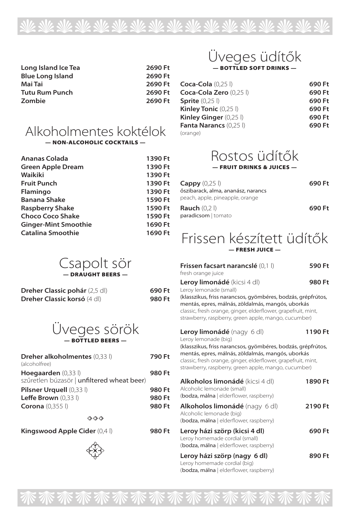

| Long Island Ice Tea     | 2690 Ft |
|-------------------------|---------|
| <b>Blue Long Island</b> | 2690 Ft |
| Mai Tai                 | 2690 Ft |
| Tutu Rum Punch          | 2690 Ft |
| Zombie                  | 2690 Ft |

# Alkoholmentes koktélok

— NON-ALCOHOLIC COCKTAILS —

| Ananas Colada               | 1390 Ft |
|-----------------------------|---------|
| <b>Green Apple Dream</b>    | 1390 Ft |
| Waikiki                     | 1390 Ft |
| <b>Fruit Punch</b>          | 1390 Ft |
| <b>Flamingo</b>             | 1390 Ft |
| <b>Banana Shake</b>         | 1590 Ft |
| <b>Raspberry Shake</b>      | 1590 Ft |
| <b>Choco Coco Shake</b>     | 1590 Ft |
| <b>Ginger-Mint Smoothie</b> | 1690 Ft |
| <b>Catalina Smoothie</b>    | 1690 Ft |
|                             |         |



| <b>Dreher Classic pohár</b> (2,5 dl) | 690 Ft        |
|--------------------------------------|---------------|
| <b>Dreher Classic korsó</b> (4 dl)   | <b>980 Ft</b> |

## Üveges sörök — BOTTLED BEERS —

| <b>Dreher alkoholmentes (0,33)</b><br>(alcoholfree)                | 790 Ft        |
|--------------------------------------------------------------------|---------------|
| Hoegaarden $(0,331)$<br>szűretlen búzasör   unfiltered wheat beer) | <b>980 Ft</b> |
| Pilsner Urquell (0,33 l)                                           | 980 Ft        |
| <b>Leffe Brown</b> $(0,33)$                                        | 980 Ft        |
| <b>Corona</b> $(0,355)$                                            | 980 Ft        |
|                                                                    |               |

**Kingswood Apple Cider** (0,4 l) **980 Ft**



# Üveges üdítők — BOTTLED SOFT DRINKS —

| Coca-Cola $(0,25)$            | 690 Ft |
|-------------------------------|--------|
| Coca-Cola Zero (0,25 l)       | 690 Ft |
| <b>Sprite</b> $(0,25)$        | 690 Ft |
| Kinley Tonic $(0,25)$         | 690 Ft |
| Kinley Ginger $(0,25)$        | 690 Ft |
| <b>Fanta Narancs (0,25 l)</b> | 690 Ft |
| (orange)                      |        |

# Rostos üdítők — FRUIT DRINKS & JUICES —

| <b>Cappy</b> $(0,25)$<br>őszibarack, alma, ananász, narancs<br>peach, apple, pineapple, orange | 690 Ft |
|------------------------------------------------------------------------------------------------|--------|
| <b>Rauch</b> $(0,2)$                                                                           | 690 Ft |
| paradicsom   tomato                                                                            |        |

# Frissen készített üdítők — FRESH JUICE —

| Frissen facsart narancslé (0,1 l)<br>fresh orange juice                                                                                                                                                                                    | 590 Ft  |
|--------------------------------------------------------------------------------------------------------------------------------------------------------------------------------------------------------------------------------------------|---------|
| Leroy limonádé (kicsi 4 dl)<br>Leroy lemonade (small)                                                                                                                                                                                      | 980 Ft  |
| (klasszikus, friss narancsos, gyömbéres, bodzás, grépfrútos,<br>mentás, epres, málnás, zöldalmás, mangós, uborkás<br>classic, fresh orange, ginger, elderflower, grapefruit, mint,<br>strawberry, raspberry, green apple, mango, cucumber) |         |
| Leroy limonádé (nagy 6 dl)<br>Leroy lemonade (big)                                                                                                                                                                                         | 1190 Ft |
| (klasszikus, friss narancsos, gyömbéres, bodzás, grépfrútos,<br>mentás, epres, málnás, zöldalmás, mangós, uborkás<br>classic, fresh orange, ginger, elderflower, grapefruit, mint,<br>strawberry, raspberry, green apple, mango, cucumber) |         |
| <b>Alkoholos limonádé</b> (kicsi 4 dl)<br>Alcoholic lemonade (small)<br>(bodza, málna   elderflower, raspberry)                                                                                                                            | 1890 Ft |
| Alkoholos limonádé (nagy 6 dl)<br>Alcoholic lemonade (big)<br>(bodza, málna   elderflower, raspberry)                                                                                                                                      | 2190 Ft |
| Leroy házi szörp (kicsi 4 dl)<br>Leroy homemade cordial (small)<br>(bodza, málna   elderflower, raspberry)                                                                                                                                 | 690 Ft  |
| Leroy házi szörp (nagy 6 dl)<br>Leroy homemade cordial (big)<br>(bodza, málna   elderflower, raspberry)                                                                                                                                    | 890 Ft  |